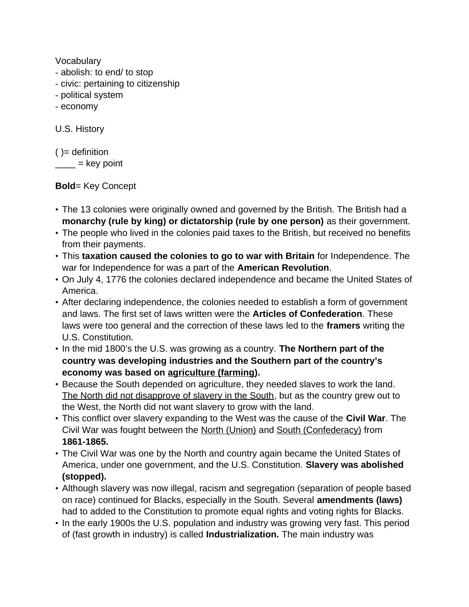Vocabulary

- abolish: to end/ to stop
- civic: pertaining to citizenship
- political system
- economy

U.S. History

 $()$  = definition  $\frac{1}{\sqrt{1-\frac{1}{2}}}$  = key point

**Bold**= Key Concept

- The 13 colonies were originally owned and governed by the British. The British had a **monarchy (rule by king) or dictatorship (rule by one person)** as their government.
- The people who lived in the colonies paid taxes to the British, but received no benefits from their payments.
- This **taxation caused the colonies to go to war with Britain** for Independence. The war for Independence for was a part of the **American Revolution**.
- On July 4, 1776 the colonies declared independence and became the United States of America.
- After declaring independence, the colonies needed to establish a form of government and laws. The first set of laws written were the **Articles of Confederation**. These laws were too general and the correction of these laws led to the **framers** writing the U.S. Constitution.
- In the mid 1800's the U.S. was growing as a country. **The Northern part of the country was developing industries and the Southern part of the country's economy was based on agriculture (farming).**
- Because the South depended on agriculture, they needed slaves to work the land. The North did not disapprove of slavery in the South, but as the country grew out to the West, the North did not want slavery to grow with the land.
- This conflict over slavery expanding to the West was the cause of the **Civil War**. The Civil War was fought between the North (Union) and South (Confederacy) from **1861-1865.**
- The Civil War was one by the North and country again became the United States of America, under one government, and the U.S. Constitution. **Slavery was abolished (stopped).**
- Although slavery was now illegal, racism and segregation (separation of people based on race) continued for Blacks, especially in the South. Several **amendments (laws)** had to added to the Constitution to promote equal rights and voting rights for Blacks.
- In the early 1900s the U.S. population and industry was growing very fast. This period of (fast growth in industry) is called **Industrialization.** The main industry was